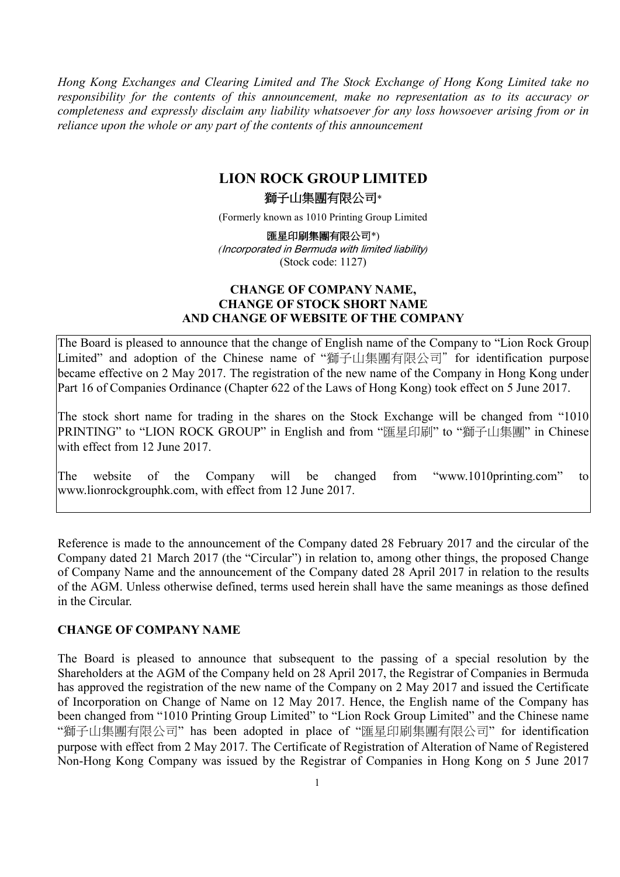*Hong Kong Exchanges and Clearing Limited and The Stock Exchange of Hong Kong Limited take no responsibility for the contents of this announcement, make no representation as to its accuracy or completeness and expressly disclaim any liability whatsoever for any loss howsoever arising from or in reliance upon the whole or any part of the contents of this announcement*

## **LION ROCK GROUP LIMITED**

#### 獅子山集團有限公司\*

(Formerly known as 1010 Printing Group Limited

匯星印刷集團有限公司\*) *(*Incorporated in Bermuda with limited liability*)* (Stock code: 1127)

### **CHANGE OF COMPANY NAME, CHANGE OF STOCK SHORT NAME AND CHANGE OF WEBSITE OF THE COMPANY**

The Board is pleased to announce that the change of English name of the Company to "Lion Rock Group Limited" and adoption of the Chinese name of "獅子山集團有限公司" for identification purpose became effective on 2 May 2017. The registration of the new name of the Company in Hong Kong under Part 16 of Companies Ordinance (Chapter 622 of the Laws of Hong Kong) took effect on 5 June 2017.

The stock short name for trading in the shares on the Stock Exchange will be changed from "1010 PRINTING" to "LION ROCK GROUP" in English and from "匯星印刷" to "獅子山集團" in Chinese with effect from 12 June 2017.

The website of the Company will be changed from "www.1010printing.com" to www.lionrockgrouphk.com, with effect from 12 June 2017.

Reference is made to the announcement of the Company dated 28 February 2017 and the circular of the Company dated 21 March 2017 (the "Circular") in relation to, among other things, the proposed Change of Company Name and the announcement of the Company dated 28 April 2017 in relation to the results of the AGM. Unless otherwise defined, terms used herein shall have the same meanings as those defined in the Circular.

#### **CHANGE OF COMPANY NAME**

The Board is pleased to announce that subsequent to the passing of a special resolution by the Shareholders at the AGM of the Company held on 28 April 2017, the Registrar of Companies in Bermuda has approved the registration of the new name of the Company on 2 May 2017 and issued the Certificate of Incorporation on Change of Name on 12 May 2017. Hence, the English name of the Company has been changed from "1010 Printing Group Limited" to "Lion Rock Group Limited" and the Chinese name "獅子山集團有限公司" has been adopted in place of "匯星印刷集團有限公司" for identification purpose with effect from 2 May 2017. The Certificate of Registration of Alteration of Name of Registered Non-Hong Kong Company was issued by the Registrar of Companies in Hong Kong on 5 June 2017